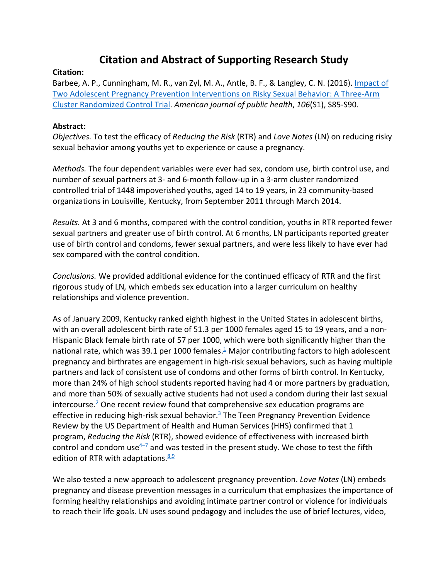## **Citation and Abstract of Supporting Research Study**

## **Citation:**

Barbee, A. P., Cunningham, M. R., van Zyl, M. A., Antle, B. F., & Langley, C. N. (2016). Impact of Two Adolescent Pregnancy Prevention Interventions on Risky Sexual Behavior: A Three-Arm Cluster Randomized Control Trial. *American journal of public health*, *106*(S1), S85-S90.

## **Abstract:**

*Objectives.* To test the efficacy of *Reducing the Risk* (RTR) and *Love Notes* (LN) on reducing risky sexual behavior among youths yet to experience or cause a pregnancy.

*Methods.* The four dependent variables were ever had sex, condom use, birth control use, and number of sexual partners at 3- and 6-month follow-up in a 3-arm cluster randomized controlled trial of 1448 impoverished youths, aged 14 to 19 years, in 23 community-based organizations in Louisville, Kentucky, from September 2011 through March 2014.

*Results.* At 3 and 6 months, compared with the control condition, youths in RTR reported fewer sexual partners and greater use of birth control. At 6 months, LN participants reported greater use of birth control and condoms, fewer sexual partners, and were less likely to have ever had sex compared with the control condition.

*Conclusions.* We provided additional evidence for the continued efficacy of RTR and the first rigorous study of LN*,* which embeds sex education into a larger curriculum on healthy relationships and violence prevention.

As of January 2009, Kentucky ranked eighth highest in the United States in adolescent births, with an overall adolescent birth rate of 51.3 per 1000 females aged 15 to 19 years, and a non-Hispanic Black female birth rate of 57 per 1000, which were both significantly higher than the national rate, which was 39.1 per 1000 females.<sup>1</sup> Major contributing factors to high adolescent pregnancy and birthrates are engagement in high-risk sexual behaviors, such as having multiple partners and lack of consistent use of condoms and other forms of birth control. In Kentucky, more than 24% of high school students reported having had 4 or more partners by graduation, and more than 50% of sexually active students had not used a condom during their last sexual intercourse.2 One recent review found that comprehensive sex education programs are effective in reducing high-risk sexual behavior.<sup>3</sup> The Teen Pregnancy Prevention Evidence Review by the US Department of Health and Human Services (HHS) confirmed that 1 program, *Reducing the Risk* (RTR), showed evidence of effectiveness with increased birth control and condom use $4\overline{-7}$  and was tested in the present study. We chose to test the fifth edition of RTR with adaptations. $8,9$ 

We also tested a new approach to adolescent pregnancy prevention. *Love Notes* (LN) embeds pregnancy and disease prevention messages in a curriculum that emphasizes the importance of forming healthy relationships and avoiding intimate partner control or violence for individuals to reach their life goals. LN uses sound pedagogy and includes the use of brief lectures, video,